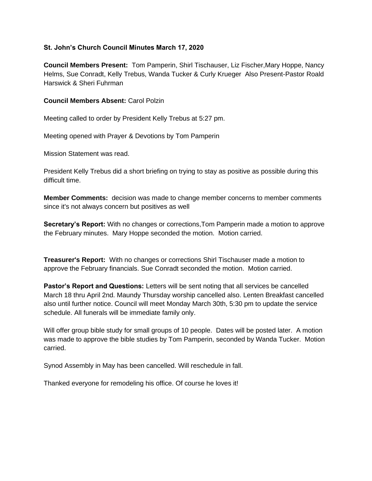### **St. John's Church Council Minutes March 17, 2020**

**Council Members Present:** Tom Pamperin, Shirl Tischauser, Liz Fischer,Mary Hoppe, Nancy Helms, Sue Conradt, Kelly Trebus, Wanda Tucker & Curly Krueger Also Present-Pastor Roald Harswick & Sheri Fuhrman

# **Council Members Absent:** Carol Polzin

Meeting called to order by President Kelly Trebus at 5:27 pm.

Meeting opened with Prayer & Devotions by Tom Pamperin

Mission Statement was read.

President Kelly Trebus did a short briefing on trying to stay as positive as possible during this difficult time.

**Member Comments:** decision was made to change member concerns to member comments since it's not always concern but positives as well

**Secretary's Report:** With no changes or corrections,Tom Pamperin made a motion to approve the February minutes. Mary Hoppe seconded the motion. Motion carried.

**Treasurer's Report:** With no changes or corrections Shirl Tischauser made a motion to approve the February financials. Sue Conradt seconded the motion. Motion carried.

**Pastor's Report and Questions:** Letters will be sent noting that all services be cancelled March 18 thru April 2nd. Maundy Thursday worship cancelled also. Lenten Breakfast cancelled also until further notice. Council will meet Monday March 30th, 5:30 pm to update the service schedule. All funerals will be immediate family only.

Will offer group bible study for small groups of 10 people. Dates will be posted later. A motion was made to approve the bible studies by Tom Pamperin, seconded by Wanda Tucker. Motion carried.

Synod Assembly in May has been cancelled. Will reschedule in fall.

Thanked everyone for remodeling his office. Of course he loves it!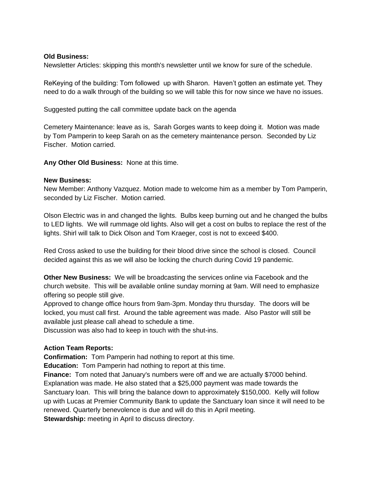### **Old Business:**

Newsletter Articles: skipping this month's newsletter until we know for sure of the schedule.

ReKeying of the building: Tom followed up with Sharon. Haven't gotten an estimate yet. They need to do a walk through of the building so we will table this for now since we have no issues.

Suggested putting the call committee update back on the agenda

Cemetery Maintenance: leave as is, Sarah Gorges wants to keep doing it. Motion was made by Tom Pamperin to keep Sarah on as the cemetery maintenance person. Seconded by Liz Fischer. Motion carried.

**Any Other Old Business:** None at this time.

#### **New Business:**

New Member: Anthony Vazquez. Motion made to welcome him as a member by Tom Pamperin, seconded by Liz Fischer. Motion carried.

Olson Electric was in and changed the lights. Bulbs keep burning out and he changed the bulbs to LED lights. We will rummage old lights. Also will get a cost on bulbs to replace the rest of the lights. Shirl will talk to Dick Olson and Tom Kraeger, cost is not to exceed \$400.

Red Cross asked to use the building for their blood drive since the school is closed. Council decided against this as we will also be locking the church during Covid 19 pandemic.

**Other New Business:** We will be broadcasting the services online via Facebook and the church website. This will be available online sunday morning at 9am. Will need to emphasize offering so people still give.

Approved to change office hours from 9am-3pm. Monday thru thursday. The doors will be locked, you must call first. Around the table agreement was made. Also Pastor will still be available just please call ahead to schedule a time.

Discussion was also had to keep in touch with the shut-ins.

## **Action Team Reports:**

**Confirmation:** Tom Pamperin had nothing to report at this time.

**Education:** Tom Pamperin had nothing to report at this time.

**Finance:** Tom noted that January's numbers were off and we are actually \$7000 behind. Explanation was made. He also stated that a \$25,000 payment was made towards the Sanctuary loan. This will bring the balance down to approximately \$150,000. Kelly will follow up with Lucas at Premier Community Bank to update the Sanctuary loan since it will need to be renewed. Quarterly benevolence is due and will do this in April meeting. **Stewardship:** meeting in April to discuss directory.